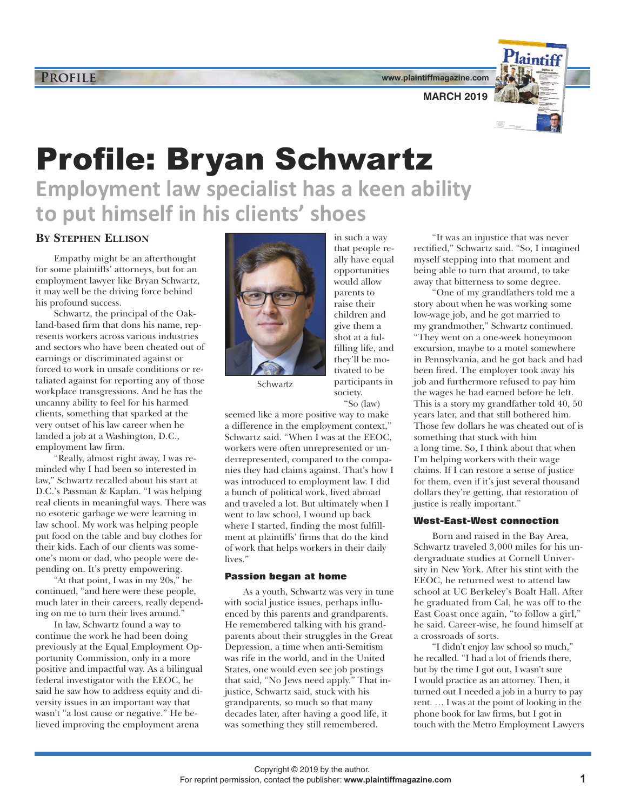**www.plaintiffmagazine.com**



# Profile: Bryan Schwartz **Employment law specialist has a keen ability to put himself in his clients' shoes**

## **BY STEPHEN ELLISON**

Empathy might be an afterthought for some plaintiffs' attorneys, but for an employment lawyer like Bryan Schwartz, it may well be the driving force behind his profound success.

Schwartz, the principal of the Oakland-based firm that dons his name, represents workers across various industries and sectors who have been cheated out of earnings or discriminated against or forced to work in unsafe conditions or retaliated against for reporting any of those workplace transgressions. And he has the uncanny ability to feel for his harmed clients, something that sparked at the very outset of his law career when he landed a job at a Washington, D.C., employment law firm.

"Really, almost right away, I was reminded why I had been so interested in law," Schwartz recalled about his start at D.C.'s Passman & Kaplan. "I was helping real clients in meaningful ways. There was no esoteric garbage we were learning in law school. My work was helping people put food on the table and buy clothes for their kids. Each of our clients was someone's mom or dad, who people were depending on. It's pretty empowering.

"At that point, I was in my 20s," he continued, "and here were these people, much later in their careers, really depending on me to turn their lives around."

In law, Schwartz found a way to continue the work he had been doing previously at the Equal Employment Opportunity Commission, only in a more positive and impactful way. As a bilingual federal investigator with the EEOC, he said he saw how to address equity and diversity issues in an important way that wasn't "a lost cause or negative." He believed improving the employment arena



parents to raise their children and give them a shot at a fulfilling life, and they'll be motivated to be participants in society.

in such a way that people really have equal opportunities would allow

Schwartz

"So (law)

seemed like a more positive way to make a difference in the employment context," Schwartz said. "When I was at the EEOC, workers were often unrepresented or underrepresented, compared to the companies they had claims against. That's how I was introduced to employment law. I did a bunch of political work, lived abroad and traveled a lot. But ultimately when I went to law school, I wound up back where I started, finding the most fulfillment at plaintiffs' firms that do the kind of work that helps workers in their daily lives."

#### **Passion began at home**

As a youth, Schwartz was very in tune with social justice issues, perhaps influenced by this parents and grandparents. He remembered talking with his grandparents about their struggles in the Great Depression, a time when anti-Semitism was rife in the world, and in the United States, one would even see job postings that said, "No Jews need apply." That injustice, Schwartz said, stuck with his grandparents, so much so that many decades later, after having a good life, it was something they still remembered.

"It was an injustice that was never rectified," Schwartz said. "So, I imagined myself stepping into that moment and being able to turn that around, to take away that bitterness to some degree.

"One of my grandfathers told me a story about when he was working some low-wage job, and he got married to my grandmother," Schwartz continued. "They went on a one-week honeymoon excursion, maybe to a motel somewhere in Pennsylvania, and he got back and had been fired. The employer took away his job and furthermore refused to pay him the wages he had earned before he left. This is a story my grandfather told 40, 50 years later, and that still bothered him. Those few dollars he was cheated out of is something that stuck with him a long time. So, I think about that when I'm helping workers with their wage claims. If I can restore a sense of justice for them, even if it's just several thousand dollars they're getting, that restoration of justice is really important."

#### **West-East-West connection**

Born and raised in the Bay Area, Schwartz traveled 3,000 miles for his undergraduate studies at Cornell University in New York. After his stint with the EEOC, he returned west to attend law school at UC Berkeley's Boalt Hall. After he graduated from Cal, he was off to the East Coast once again, "to follow a girl," he said. Career-wise, he found himself at a crossroads of sorts.

"I didn't enjoy law school so much," he recalled. "I had a lot of friends there, but by the time I got out, I wasn't sure I would practice as an attorney. Then, it turned out I needed a job in a hurry to pay rent. … I was at the point of looking in the phone book for law firms, but I got in touch with the Metro Employment Lawyers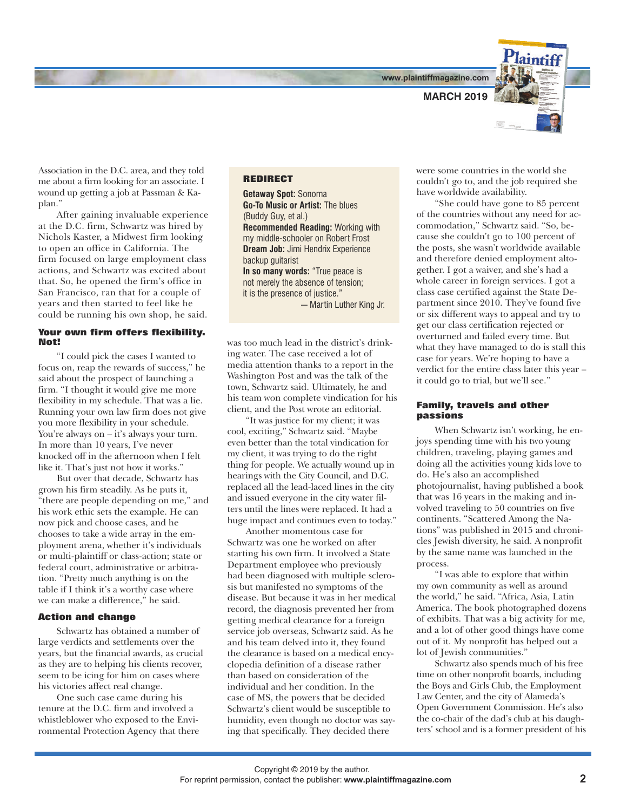**www.plaintiffmagazine.com**



Association in the D.C. area, and they told me about a firm looking for an associate. I wound up getting a job at Passman & Kaplan."

After gaining invaluable experience at the D.C. firm, Schwartz was hired by Nichols Kaster, a Midwest firm looking to open an office in California. The firm focused on large employment class actions, and Schwartz was excited about that. So, he opened the firm's office in San Francisco, ran that for a couple of years and then started to feel like he could be running his own shop, he said.

#### **Your own firm offers flexibility. Not!**

"I could pick the cases I wanted to focus on, reap the rewards of success," he said about the prospect of launching a firm. "I thought it would give me more flexibility in my schedule. That was a lie. Running your own law firm does not give you more flexibility in your schedule. You're always on – it's always your turn. In more than 10 years, I've never knocked off in the afternoon when I felt like it. That's just not how it works."

But over that decade, Schwartz has grown his firm steadily. As he puts it, "there are people depending on me," and his work ethic sets the example. He can now pick and choose cases, and he chooses to take a wide array in the employment arena, whether it's individuals or multi-plaintiff or class-action; state or federal court, administrative or arbitration. "Pretty much anything is on the table if I think it's a worthy case where we can make a difference," he said.

#### **Action and change**

Schwartz has obtained a number of large verdicts and settlements over the years, but the financial awards, as crucial as they are to helping his clients recover, seem to be icing for him on cases where his victories affect real change.

One such case came during his tenure at the D.C. firm and involved a whistleblower who exposed to the Environmental Protection Agency that there

### **REDIRECT**

**Getaway Spot:** Sonoma **Go-To Music or Artist:** The blues (Buddy Guy, et al.) **Recommended Reading:** Working with my middle-schooler on Robert Frost **Dream Job:** Jimi Hendrix Experience backup guitarist **In so many words:** "True peace is not merely the absence of tension; it is the presence of justice." — Martin Luther King Jr.

was too much lead in the district's drinking water. The case received a lot of media attention thanks to a report in the Washington Post and was the talk of the town, Schwartz said. Ultimately, he and his team won complete vindication for his client, and the Post wrote an editorial.

"It was justice for my client; it was cool, exciting," Schwartz said. "Maybe even better than the total vindication for my client, it was trying to do the right thing for people. We actually wound up in hearings with the City Council, and D.C. replaced all the lead-laced lines in the city and issued everyone in the city water filters until the lines were replaced. It had a huge impact and continues even to today."

Another momentous case for Schwartz was one he worked on after starting his own firm. It involved a State Department employee who previously had been diagnosed with multiple sclerosis but manifested no symptoms of the disease. But because it was in her medical record, the diagnosis prevented her from getting medical clearance for a foreign service job overseas, Schwartz said. As he and his team delved into it, they found the clearance is based on a medical encyclopedia definition of a disease rather than based on consideration of the individual and her condition. In the case of MS, the powers that be decided Schwartz's client would be susceptible to humidity, even though no doctor was saying that specifically. They decided there

were some countries in the world she couldn't go to, and the job required she have worldwide availability.

"She could have gone to 85 percent of the countries without any need for accommodation," Schwartz said. "So, because she couldn't go to 100 percent of the posts, she wasn't worldwide available and therefore denied employment altogether. I got a waiver, and she's had a whole career in foreign services. I got a class case certified against the State Department since 2010. They've found five or six different ways to appeal and try to get our class certification rejected or overturned and failed every time. But what they have managed to do is stall this case for years. We're hoping to have a verdict for the entire class later this year – it could go to trial, but we'll see."

#### **Family, travels and other passions**

When Schwartz isn't working, he enjoys spending time with his two young children, traveling, playing games and doing all the activities young kids love to do. He's also an accomplished photojournalist, having published a book that was 16 years in the making and involved traveling to 50 countries on five continents. "Scattered Among the Nations" was published in 2015 and chronicles Jewish diversity, he said. A nonprofit by the same name was launched in the process.

"I was able to explore that within my own community as well as around the world," he said. "Africa, Asia, Latin America. The book photographed dozens of exhibits. That was a big activity for me, and a lot of other good things have come out of it. My nonprofit has helped out a lot of Jewish communities."

Schwartz also spends much of his free time on other nonprofit boards, including the Boys and Girls Club, the Employment Law Center, and the city of Alameda's Open Government Commission. He's also the co-chair of the dad's club at his daughters' school and is a former president of his